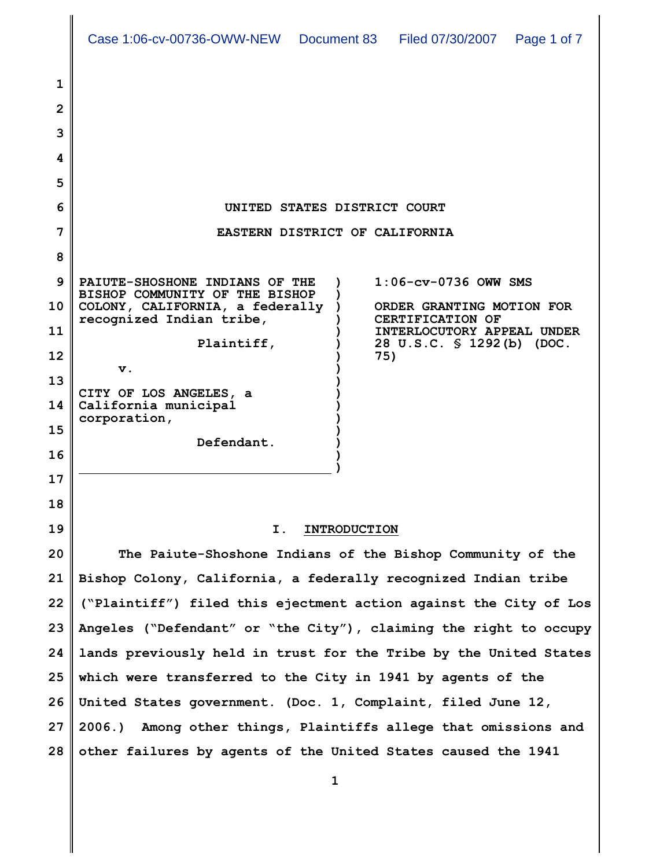| Case 1:06-cv-00736-OWW-NEW Document 83 | Filed 07/30/2007   Page 1 of 7 |  |
|----------------------------------------|--------------------------------|--|
|                                        |                                |  |

| 1  |                                                                                                              |
|----|--------------------------------------------------------------------------------------------------------------|
| 2  |                                                                                                              |
| 3  |                                                                                                              |
| 4  |                                                                                                              |
| 5  |                                                                                                              |
| 6  | UNITED STATES DISTRICT COURT                                                                                 |
| 7  | EASTERN DISTRICT OF CALIFORNIA                                                                               |
| 8  |                                                                                                              |
| 9  | $1:06$ - $cv$ -0736 OWW SMS<br>PAIUTE-SHOSHONE INDIANS OF THE<br>BISHOP COMMUNITY OF THE BISHOP              |
| 10 | COLONY, CALIFORNIA, a federally<br>ORDER GRANTING MOTION FOR<br>recognized Indian tribe,<br>CERTIFICATION OF |
| 11 | INTERLOCUTORY APPEAL UNDER<br>Plaintiff,<br>28 U.S.C. § 1292(b) (DOC.                                        |
| 12 | 75)<br>$\mathbf v$ .                                                                                         |
| 13 | CITY OF LOS ANGELES, a                                                                                       |
| 14 | California municipal<br>corporation,                                                                         |
| 15 | Defendant.                                                                                                   |
| 16 |                                                                                                              |
| 17 |                                                                                                              |
| 18 |                                                                                                              |
| 19 | Ι.<br><b>INTRODUCTION</b>                                                                                    |
| 20 | The Paiute-Shoshone Indians of the Bishop Community of the                                                   |
| 21 | Bishop Colony, California, a federally recognized Indian tribe                                               |
| 22 | ("Plaintiff") filed this ejectment action against the City of Los                                            |
| 23 | Angeles ("Defendant" or "the City"), claiming the right to occupy                                            |
| 24 | lands previously held in trust for the Tribe by the United States                                            |

**1**

**2006.) Among other things, Plaintiffs allege that omissions and**

**other failures by agents of the United States caused the 1941**

**25 which were transferred to the City in 1941 by agents of the**

**26 United States government. (Doc. 1, Complaint, filed June 12,**

**27**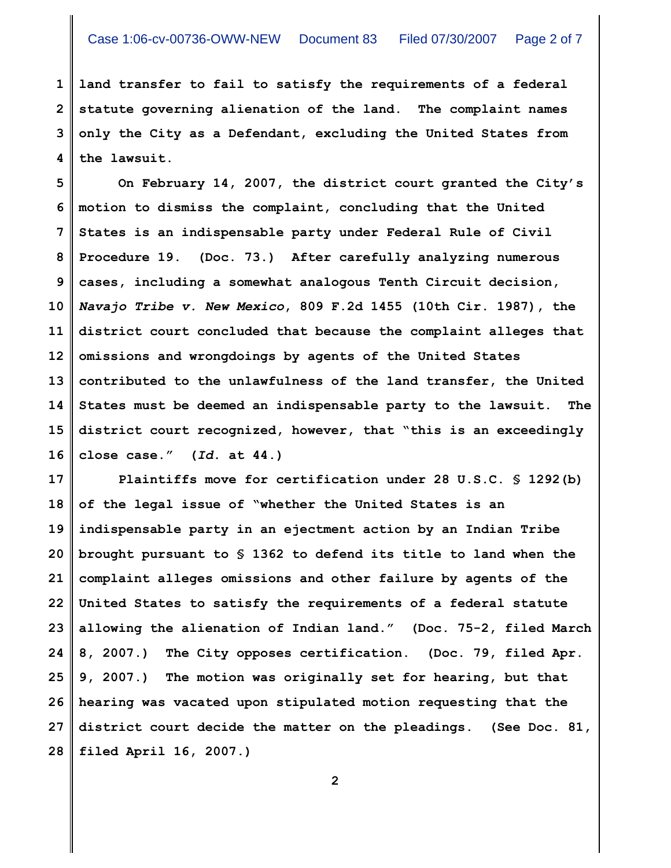**1 2 3 4 land transfer to fail to satisfy the requirements of a federal statute governing alienation of the land. The complaint names only the City as a Defendant, excluding the United States from the lawsuit.**

**5 6 7 8 9 10 11 12 13 14 15 16 On February 14, 2007, the district court granted the City's motion to dismiss the complaint, concluding that the United States is an indispensable party under Federal Rule of Civil Procedure 19. (Doc. 73.) After carefully analyzing numerous cases, including a somewhat analogous Tenth Circuit decision,** *Navajo Tribe v. New Mexico***, 809 F.2d 1455 (10th Cir. 1987), the district court concluded that because the complaint alleges that omissions and wrongdoings by agents of the United States contributed to the unlawfulness of the land transfer, the United States must be deemed an indispensable party to the lawsuit. The district court recognized, however, that "this is an exceedingly close case." (***Id.* **at 44.)**

**17 18 19 20 21 22 23 24 25 26 27 28 Plaintiffs move for certification under 28 U.S.C. § 1292(b) of the legal issue of "whether the United States is an indispensable party in an ejectment action by an Indian Tribe brought pursuant to § 1362 to defend its title to land when the complaint alleges omissions and other failure by agents of the United States to satisfy the requirements of a federal statute allowing the alienation of Indian land." (Doc. 75-2, filed March 8, 2007.) The City opposes certification. (Doc. 79, filed Apr. 9, 2007.) The motion was originally set for hearing, but that hearing was vacated upon stipulated motion requesting that the district court decide the matter on the pleadings. (See Doc. 81, filed April 16, 2007.)**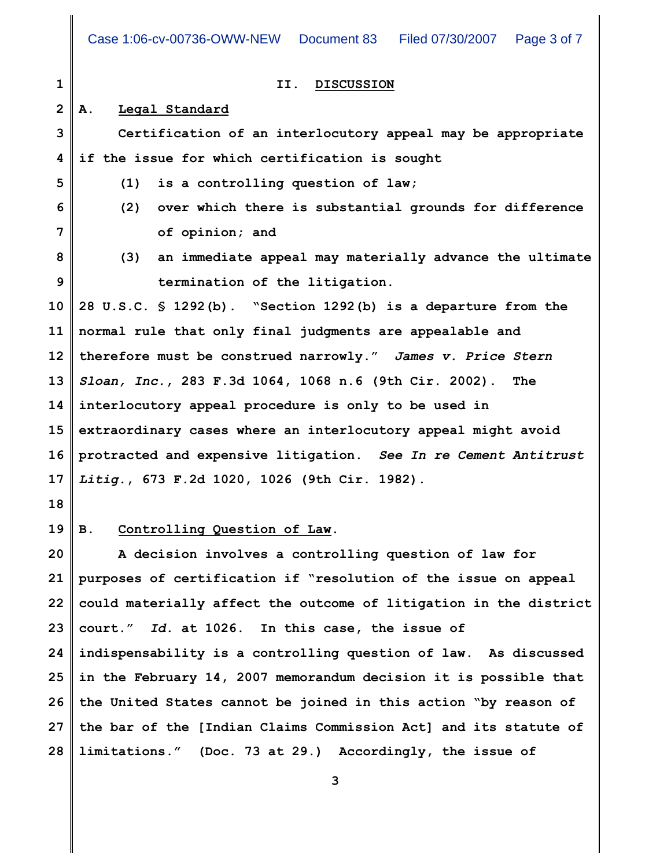**1 2 3 4 5 6 7 8 9 10 11 12 13 14 15 16 17 II. DISCUSSION A. Legal Standard Certification of an interlocutory appeal may be appropriate if the issue for which certification is sought (1) is a controlling question of law; (2) over which there is substantial grounds for difference of opinion; and (3) an immediate appeal may materially advance the ultimate termination of the litigation. 28 U.S.C. § 1292(b). "Section 1292(b) is a departure from the normal rule that only final judgments are appealable and therefore must be construed narrowly."** *James v. Price Stern Sloan, Inc.***, 283 F.3d 1064, 1068 n.6 (9th Cir. 2002). The interlocutory appeal procedure is only to be used in extraordinary cases where an interlocutory appeal might avoid protracted and expensive litigation.** *See In re Cement Antitrust Litig.***, 673 F.2d 1020, 1026 (9th Cir. 1982).**

**18**

## **19 B. Controlling Question of Law.**

**20 21 22 23 24 25 26 27 28 A decision involves a controlling question of law for purposes of certification if "resolution of the issue on appeal could materially affect the outcome of litigation in the district court."** *Id.* **at 1026. In this case, the issue of indispensability is a controlling question of law. As discussed in the February 14, 2007 memorandum decision it is possible that the United States cannot be joined in this action "by reason of the bar of the [Indian Claims Commission Act] and its statute of limitations." (Doc. 73 at 29.) Accordingly, the issue of**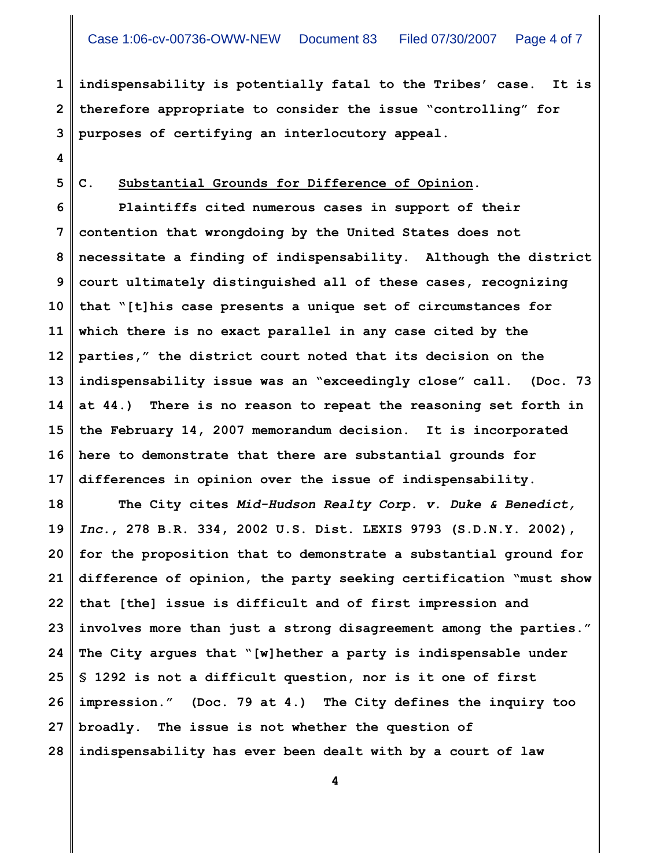**1 2 3 indispensability is potentially fatal to the Tribes' case. It is therefore appropriate to consider the issue "controlling" for purposes of certifying an interlocutory appeal.**

**4**

**5**

**C. Substantial Grounds for Difference of Opinion.**

**6 7 8 9 10 11 12 13 14 15 16 17 Plaintiffs cited numerous cases in support of their contention that wrongdoing by the United States does not necessitate a finding of indispensability. Although the district court ultimately distinguished all of these cases, recognizing that "[t]his case presents a unique set of circumstances for which there is no exact parallel in any case cited by the parties," the district court noted that its decision on the indispensability issue was an "exceedingly close" call. (Doc. 73 at 44.) There is no reason to repeat the reasoning set forth in the February 14, 2007 memorandum decision. It is incorporated here to demonstrate that there are substantial grounds for differences in opinion over the issue of indispensability.**

**18 19 20 21 22 23 24 25 26 27 28 The City cites** *Mid-Hudson Realty Corp. v. Duke & Benedict, Inc.***, 278 B.R. 334, 2002 U.S. Dist. LEXIS 9793 (S.D.N.Y. 2002), for the proposition that to demonstrate a substantial ground for difference of opinion, the party seeking certification "must show that [the] issue is difficult and of first impression and involves more than just a strong disagreement among the parties." The City argues that "[w]hether a party is indispensable under § 1292 is not a difficult question, nor is it one of first impression." (Doc. 79 at 4.) The City defines the inquiry too broadly. The issue is not whether the question of indispensability has ever been dealt with by a court of law**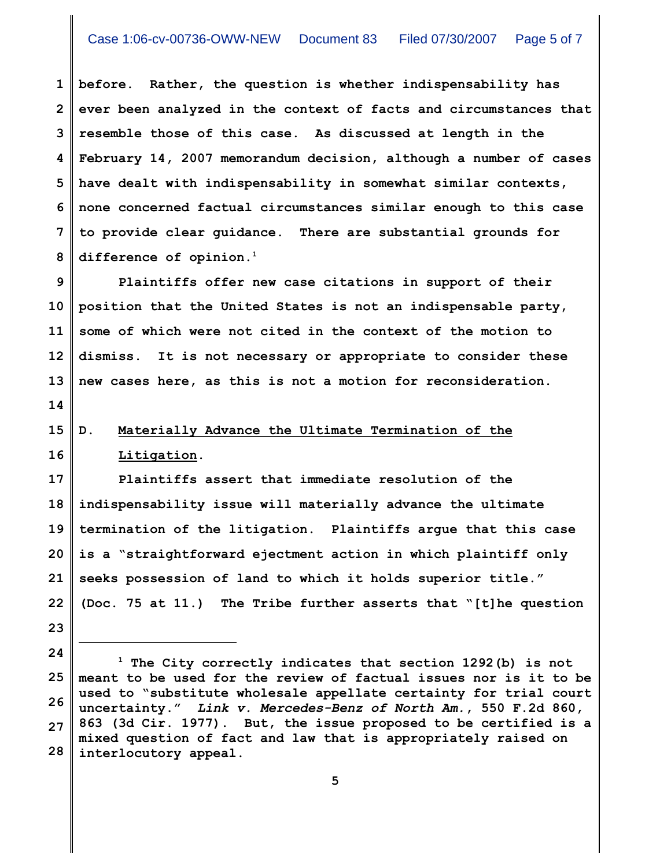**1 2 3 4 5 6 7 8 before. Rather, the question is whether indispensability has ever been analyzed in the context of facts and circumstances that resemble those of this case. As discussed at length in the February 14, 2007 memorandum decision, although a number of cases have dealt with indispensability in somewhat similar contexts, none concerned factual circumstances similar enough to this case to provide clear guidance. There are substantial grounds for difference of opinion.<sup>1</sup>**

**9 10 11 12 13 Plaintiffs offer new case citations in support of their position that the United States is not an indispensable party, some of which were not cited in the context of the motion to dismiss. It is not necessary or appropriate to consider these new cases here, as this is not a motion for reconsideration.**

## **14**

## **15 16**

## **D. Materially Advance the Ultimate Termination of the Litigation.**

**17 18 19 20 21 22 Plaintiffs assert that immediate resolution of the indispensability issue will materially advance the ultimate termination of the litigation. Plaintiffs argue that this case is a "straightforward ejectment action in which plaintiff only seeks possession of land to which it holds superior title." (Doc. 75 at 11.) The Tribe further asserts that "[t]he question**

- **23**
- **24**

**<sup>25</sup> 26 27 28** <sup>1</sup> The City correctly indicates that section 1292(b) is not **meant to be used for the review of factual issues nor is it to be used to "substitute wholesale appellate certainty for trial court uncertainty."** *Link v. Mercedes-Benz of North Am.***, 550 F.2d 860, 863 (3d Cir. 1977). But, the issue proposed to be certified is a mixed question of fact and law that is appropriately raised on interlocutory appeal.**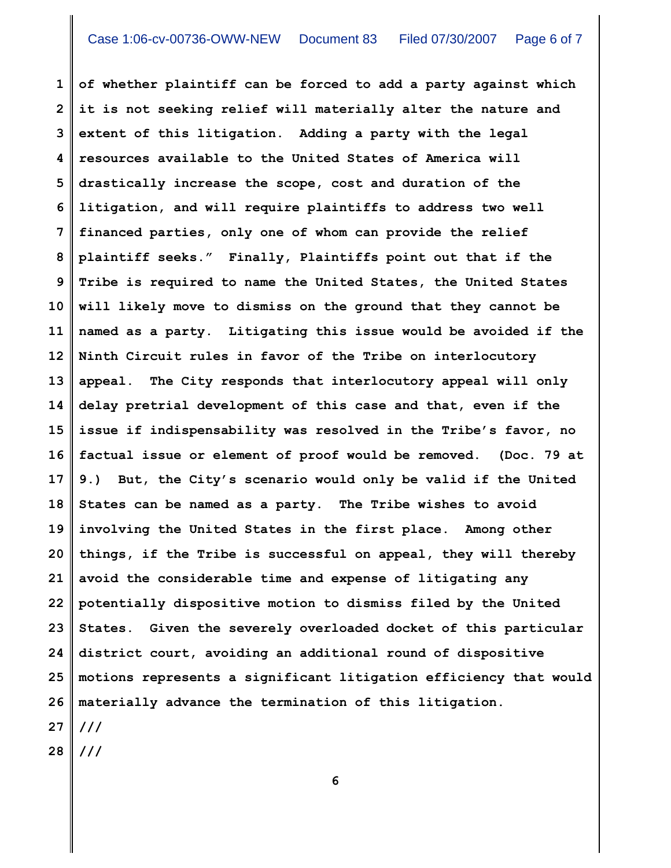**1 2 3 4 5 6 7 8 9 10 11 12 13 14 15 16 17 18 19 20 21 22 23 24 25 26 27 of whether plaintiff can be forced to add a party against which it is not seeking relief will materially alter the nature and extent of this litigation. Adding a party with the legal resources available to the United States of America will drastically increase the scope, cost and duration of the litigation, and will require plaintiffs to address two well financed parties, only one of whom can provide the relief plaintiff seeks." Finally, Plaintiffs point out that if the Tribe is required to name the United States, the United States will likely move to dismiss on the ground that they cannot be named as a party. Litigating this issue would be avoided if the Ninth Circuit rules in favor of the Tribe on interlocutory appeal. The City responds that interlocutory appeal will only delay pretrial development of this case and that, even if the issue if indispensability was resolved in the Tribe's favor, no factual issue or element of proof would be removed. (Doc. 79 at 9.) But, the City's scenario would only be valid if the United States can be named as a party. The Tribe wishes to avoid involving the United States in the first place. Among other things, if the Tribe is successful on appeal, they will thereby avoid the considerable time and expense of litigating any potentially dispositive motion to dismiss filed by the United States. Given the severely overloaded docket of this particular district court, avoiding an additional round of dispositive motions represents a significant litigation efficiency that would materially advance the termination of this litigation. ///**

**28 ///**